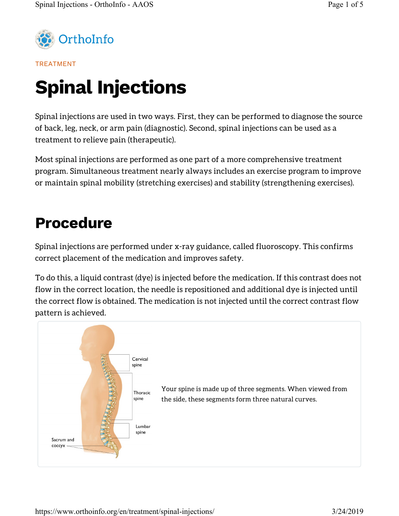

TREATMENT

# Spinal Injections

Spinal injections are used in two ways. First, they can be performed to diagnose the source of back, leg, neck, or arm pain (diagnostic). Second, spinal injections can be used as a treatment to relieve pain (therapeutic).

Most spinal injections are performed as one part of a more comprehensive treatment program. Simultaneous treatment nearly always includes an exercise program to improve or maintain spinal mobility (stretching exercises) and stability (strengthening exercises).

# Procedure

Spinal injections are performed under x-ray guidance, called fluoroscopy. This confirms correct placement of the medication and improves safety.

To do this, a liquid contrast (dye) is injected before the medication. If this contrast does not flow in the correct location, the needle is repositioned and additional dye is injected until the correct flow is obtained. The medication is not injected until the correct contrast flow pattern is achieved.

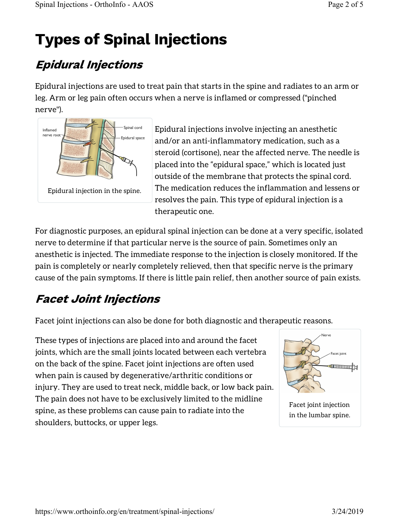# Types of Spinal Injections

## Epidural Injections

Epidural injections are used to treat pain that starts in the spine and radiates to an arm or leg. Arm or leg pain often occurs when a nerve is inflamed or compressed ("pinched nerve").



Epidural injections involve injecting an anesthetic and/or an anti-inflammatory medication, such as a steroid (cortisone), near the affected nerve. The needle is placed into the "epidural space," which is located just outside of the membrane that protects the spinal cord. The medication reduces the inflammation and lessens or resolves the pain. This type of epidural injection is a therapeutic one.

For diagnostic purposes, an epidural spinal injection can be done at a very specific, isolated nerve to determine if that particular nerve is the source of pain. Sometimes only an anesthetic is injected. The immediate response to the injection is closely monitored. If the pain is completely or nearly completely relieved, then that specific nerve is the primary cause of the pain symptoms. If there is little pain relief, then another source of pain exists.

## Facet Joint Injections

Facet joint injections can also be done for both diagnostic and therapeutic reasons.

These types of injections are placed into and around the facet joints, which are the small joints located between each vertebra on the back of the spine. Facet joint injections are often used when pain is caused by degenerative/arthritic conditions or injury. They are used to treat neck, middle back, or low back pain. The pain does not have to be exclusively limited to the midline spine, as these problems can cause pain to radiate into the shoulders, buttocks, or upper legs.



Facet joint injection in the lumbar spine.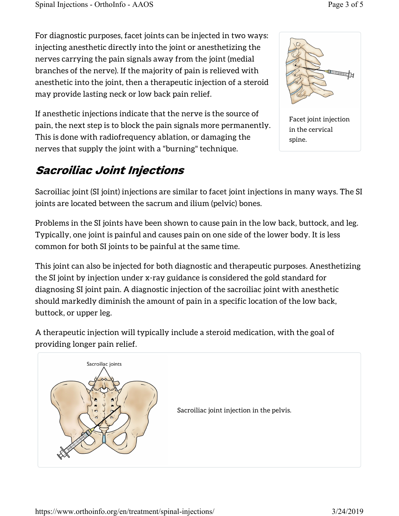For diagnostic purposes, facet joints can be injected in two ways: injecting anesthetic directly into the joint or anesthetizing the nerves carrying the pain signals away from the joint (medial branches of the nerve). If the majority of pain is relieved with anesthetic into the joint, then a therapeutic injection of a steroid may provide lasting neck or low back pain relief.



If anesthetic injections indicate that the nerve is the source of pain, the next step is to block the pain signals more permanently. This is done with radiofrequency ablation, or damaging the nerves that supply the joint with a "burning" technique.

## Sacroiliac Joint Injections

Sacroiliac joint (SI joint) injections are similar to facet joint injections in many ways. The SI joints are located between the sacrum and ilium (pelvic) bones.

Problems in the SI joints have been shown to cause pain in the low back, buttock, and leg. Typically, one joint is painful and causes pain on one side of the lower body. It is less common for both SI joints to be painful at the same time.

This joint can also be injected for both diagnostic and therapeutic purposes. Anesthetizing the SI joint by injection under x-ray guidance is considered the gold standard for diagnosing SI joint pain. A diagnostic injection of the sacroiliac joint with anesthetic should markedly diminish the amount of pain in a specific location of the low back, buttock, or upper leg.

A therapeutic injection will typically include a steroid medication, with the goal of providing longer pain relief.

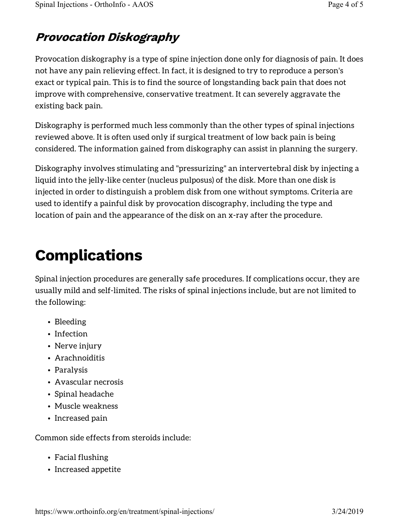### Provocation Diskography

Provocation diskography is a type of spine injection done only for diagnosis of pain. It does not have any pain relieving effect. In fact, it is designed to try to reproduce a person's exact or typical pain. This is to find the source of longstanding back pain that does not improve with comprehensive, conservative treatment. It can severely aggravate the existing back pain.

Diskography is performed much less commonly than the other types of spinal injections reviewed above. It is often used only if surgical treatment of low back pain is being considered. The information gained from diskography can assist in planning the surgery.

Diskography involves stimulating and "pressurizing" an intervertebral disk by injecting a liquid into the jelly-like center (nucleus pulposus) of the disk. More than one disk is injected in order to distinguish a problem disk from one without symptoms. Criteria are used to identify a painful disk by provocation discography, including the type and location of pain and the appearance of the disk on an x-ray after the procedure.

# Complications

Spinal injection procedures are generally safe procedures. If complications occur, they are usually mild and self-limited. The risks of spinal injections include, but are not limited to the following:

- Bleeding
- Infection
- Nerve injury
- Arachnoiditis
- Paralysis
- Avascular necrosis
- Spinal headache
- Muscle weakness
- Increased pain

Common side effects from steroids include:

- Facial flushing
- Increased appetite